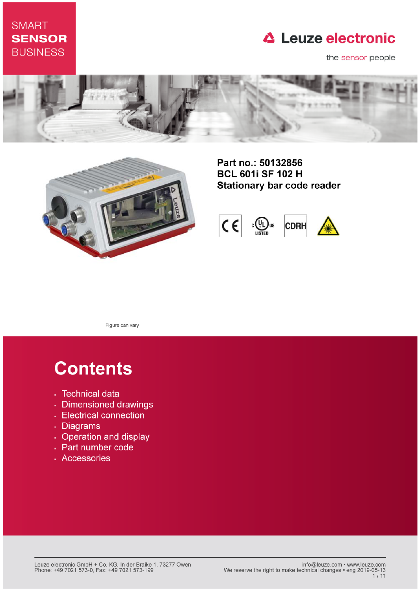### **SMART SENSOR BUSINESS**

### **△ Leuze electronic**

the sensor people





Part no.: 50132856 **BCL 601i SF 102 H Stationary bar code reader** 



Figure can vary

# **Contents**

- · Technical data
- · Dimensioned drawings
- Electrical connection
- . Diagrams
- Operation and display
- Part number code
- · Accessories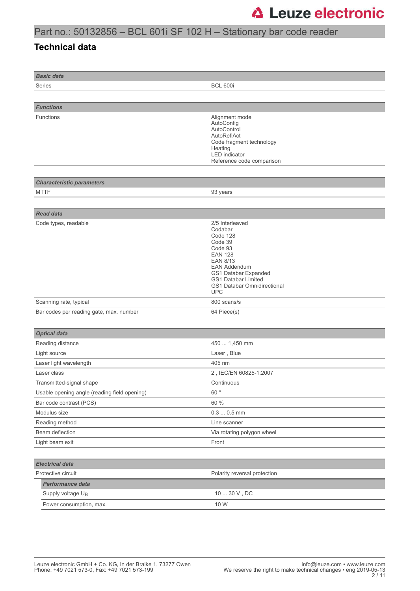### Part no.: 50132856 – BCL 601i SF 102 H – Stationary bar code reader

#### **Technical data**

| <b>Basic data</b>                            |                                                                                                                                                                                                                             |
|----------------------------------------------|-----------------------------------------------------------------------------------------------------------------------------------------------------------------------------------------------------------------------------|
| Series                                       | <b>BCL 600i</b>                                                                                                                                                                                                             |
|                                              |                                                                                                                                                                                                                             |
| <b>Functions</b>                             |                                                                                                                                                                                                                             |
| <b>Functions</b>                             | Alignment mode<br>AutoConfig<br>AutoControl<br>AutoReflAct<br>Code fragment technology<br>Heating<br>LED indicator<br>Reference code comparison                                                                             |
|                                              |                                                                                                                                                                                                                             |
| <b>Characteristic parameters</b>             |                                                                                                                                                                                                                             |
| <b>MTTF</b>                                  | 93 years                                                                                                                                                                                                                    |
|                                              |                                                                                                                                                                                                                             |
| <b>Read data</b><br>Code types, readable     | 2/5 Interleaved<br>Codabar<br>Code 128<br>Code 39<br>Code 93<br><b>EAN 128</b><br><b>EAN 8/13</b><br><b>EAN Addendum</b><br>GS1 Databar Expanded<br><b>GS1 Databar Limited</b><br>GS1 Databar Omnidirectional<br><b>UPC</b> |
| Scanning rate, typical                       | 800 scans/s                                                                                                                                                                                                                 |
| Bar codes per reading gate, max. number      | 64 Piece(s)                                                                                                                                                                                                                 |
|                                              |                                                                                                                                                                                                                             |
| <b>Optical data</b>                          |                                                                                                                                                                                                                             |
| Reading distance                             | 450  1,450 mm                                                                                                                                                                                                               |
| Light source                                 | Laser, Blue                                                                                                                                                                                                                 |
| Laser light wavelength                       | 405 nm                                                                                                                                                                                                                      |
| Laser class                                  | 2, IEC/EN 60825-1:2007                                                                                                                                                                                                      |
| Transmitted-signal shape                     | Continuous                                                                                                                                                                                                                  |
| Usable opening angle (reading field opening) | 60°                                                                                                                                                                                                                         |
| Bar code contrast (PCS)                      | 60 %                                                                                                                                                                                                                        |
| Modulus size                                 | $0.30.5$ mm                                                                                                                                                                                                                 |
| Reading method                               | Line scanner                                                                                                                                                                                                                |
| Beam deflection                              | Via rotating polygon wheel                                                                                                                                                                                                  |
| Light beam exit                              | Front                                                                                                                                                                                                                       |
|                                              |                                                                                                                                                                                                                             |
| <b>Electrical data</b>                       |                                                                                                                                                                                                                             |
| Protective circuit                           | Polarity reversal protection                                                                                                                                                                                                |
| Performance data                             |                                                                                                                                                                                                                             |
| Supply voltage U <sub>B</sub>                | $10 \ldots 30$ V , DC                                                                                                                                                                                                       |
| Power consumption, max.                      | 10 W                                                                                                                                                                                                                        |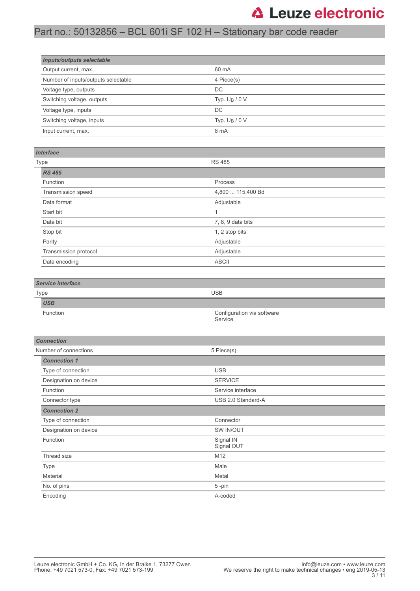### Part no.: 50132856 – BCL 601i SF 102 H – Stationary bar code reader

| <b>Inputs/outputs selectable</b>    |                  |  |
|-------------------------------------|------------------|--|
| Output current, max.                | 60 mA            |  |
| Number of inputs/outputs selectable | 4 Piece(s)       |  |
| Voltage type, outputs               | DC               |  |
| Switching voltage, outputs          | Typ. $U_B / 0 V$ |  |
| Voltage type, inputs                | DC               |  |
| Switching voltage, inputs           | Typ. $U_B / 0 V$ |  |
| Input current, max.                 | 8 mA             |  |

#### *Interface*

| <b>Type</b>           | <b>RS 485</b>     |
|-----------------------|-------------------|
| <b>RS 485</b>         |                   |
| Function              | Process           |
| Transmission speed    | 4,800  115,400 Bd |
| Data format           | Adjustable        |
| Start bit             | и                 |
| Data bit              | 7, 8, 9 data bits |
| Stop bit              | 1, 2 stop bits    |
| Parity                | Adjustable        |
| Transmission protocol | Adjustable        |
| Data encoding         | <b>ASCII</b>      |

#### *Service interface*

| Type |                 | <b>USB</b>                            |
|------|-----------------|---------------------------------------|
|      | <b>USB</b>      |                                       |
|      | <b>Function</b> | Configuration via software<br>Service |

| <b>Connection</b>     |                         |  |
|-----------------------|-------------------------|--|
| Number of connections | 5 Piece(s)              |  |
| <b>Connection 1</b>   |                         |  |
| Type of connection    | <b>USB</b>              |  |
| Designation on device | <b>SERVICE</b>          |  |
| Function              | Service interface       |  |
| Connector type        | USB 2.0 Standard-A      |  |
| <b>Connection 2</b>   |                         |  |
| Type of connection    | Connector               |  |
| Designation on device | SW IN/OUT               |  |
| Function              | Signal IN<br>Signal OUT |  |
| Thread size           | M12                     |  |
| Type                  | Male                    |  |
| Material              | Metal                   |  |
| No. of pins           | 5-pin                   |  |
| Encoding              | A-coded                 |  |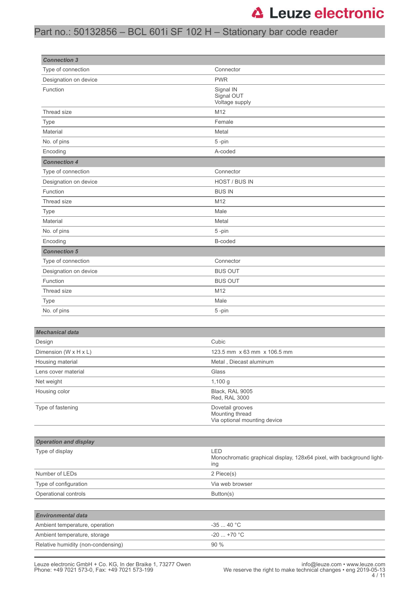#### Part no.: 50132856 – BCL 601i SF 102 H – Stationary bar code reader

| <b>Connection 3</b>          |                                                                              |
|------------------------------|------------------------------------------------------------------------------|
| Type of connection           | Connector                                                                    |
| Designation on device        | <b>PWR</b>                                                                   |
| Function                     | Signal IN<br>Signal OUT<br>Voltage supply                                    |
| Thread size                  | M12                                                                          |
| <b>Type</b>                  | Female                                                                       |
| Material                     | Metal                                                                        |
| No. of pins                  | 5-pin                                                                        |
| Encoding                     | A-coded                                                                      |
| <b>Connection 4</b>          |                                                                              |
| Type of connection           | Connector                                                                    |
| Designation on device        | HOST / BUS IN                                                                |
| Function                     | <b>BUS IN</b>                                                                |
| Thread size                  | M12                                                                          |
| Type                         | Male                                                                         |
| Material                     | Metal                                                                        |
| No. of pins                  | 5-pin                                                                        |
| Encoding                     | B-coded                                                                      |
| <b>Connection 5</b>          |                                                                              |
| Type of connection           | Connector                                                                    |
| Designation on device        | <b>BUS OUT</b>                                                               |
| Function                     | <b>BUS OUT</b>                                                               |
| Thread size                  | M12                                                                          |
| <b>Type</b>                  | Male                                                                         |
| No. of pins                  | 5-pin                                                                        |
|                              |                                                                              |
| <b>Mechanical data</b>       |                                                                              |
| Design                       | Cubic                                                                        |
| Dimension (W x H x L)        | 123.5 mm x 63 mm x 106.5 mm                                                  |
| Housing material             | Metal, Diecast aluminum                                                      |
| Lens cover material          | Glass                                                                        |
| Net weight                   | 1,100 g                                                                      |
| Housing color                | Black, RAL 9005<br>Red, RAL 3000                                             |
| Type of fastening            | Dovetail grooves<br>Mounting thread<br>Via optional mounting device          |
|                              |                                                                              |
| <b>Operation and display</b> |                                                                              |
| Type of display              | LED<br>Monochromatic graphical display, 128x64 pixel, with background light- |

| Type or display                    | ᄕᅛ<br>Monochromatic graphical display, 128x64 pixel, with background light-<br>ing |
|------------------------------------|------------------------------------------------------------------------------------|
| Number of LEDs                     | 2 Piece(s)                                                                         |
| Type of configuration              | Via web browser                                                                    |
| Operational controls               | Button(s)                                                                          |
|                                    |                                                                                    |
| <b>Environmental data</b>          |                                                                                    |
| Ambient temperature, operation     | $-3540 °C$                                                                         |
| Ambient temperature, storage       | $-20$ $+70$ °C                                                                     |
| Relative humidity (non-condensing) | 90%                                                                                |

L.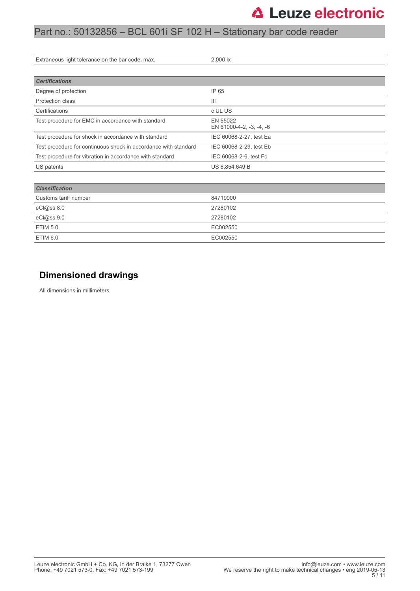#### Part no.: 50132856 – BCL 601i SF 102 H – Stationary bar code reader

| Extraneous light tolerance on the bar code, max.                | 2,000 lx                             |
|-----------------------------------------------------------------|--------------------------------------|
|                                                                 |                                      |
| <b>Certifications</b>                                           |                                      |
| Degree of protection                                            | IP 65                                |
| Protection class                                                | $\mathbf{III}$                       |
| Certifications                                                  | c UL US                              |
| Test procedure for EMC in accordance with standard              | EN 55022<br>EN 61000-4-2, -3, -4, -6 |
| Test procedure for shock in accordance with standard            | IEC 60068-2-27, test Ea              |
| Test procedure for continuous shock in accordance with standard | IEC 60068-2-29, test Eb              |
| Test procedure for vibration in accordance with standard        | IEC 60068-2-6, test Fc               |
| US patents                                                      | US 6,854,649 B                       |
|                                                                 |                                      |
| <b>Classification</b>                                           |                                      |
| Customs tariff number                                           | 84719000                             |
| eCl@ss 8.0                                                      | 27280102                             |
| eCl@ss 9.0                                                      | 27280102                             |
| <b>ETIM 5.0</b>                                                 | EC002550                             |

#### **Dimensioned drawings**

ETIM 6.0 EC002550

All dimensions in millimeters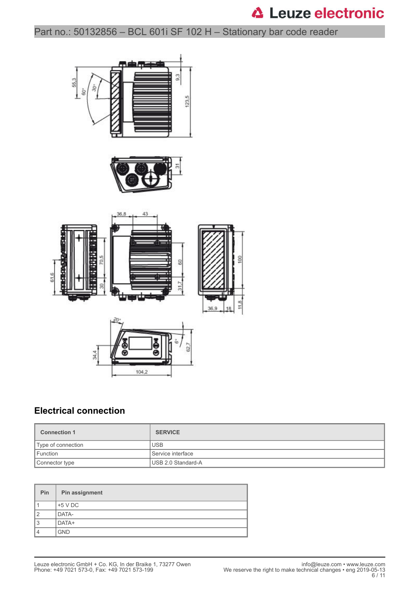Part no.: 50132856 – BCL 601i SF 102 H – Stationary bar code reader







#### **Electrical connection**

| <b>Connection 1</b> | <b>SERVICE</b>      |
|---------------------|---------------------|
| Type of connection  | <b>USB</b>          |
| Function            | l Service interface |
| Connector type      | USB 2.0 Standard-A  |

| Pin            | Pin assignment |
|----------------|----------------|
|                | $+5$ V DC      |
| $\overline{2}$ | DATA-          |
| 3              | DATA+          |
| 4              | <b>GND</b>     |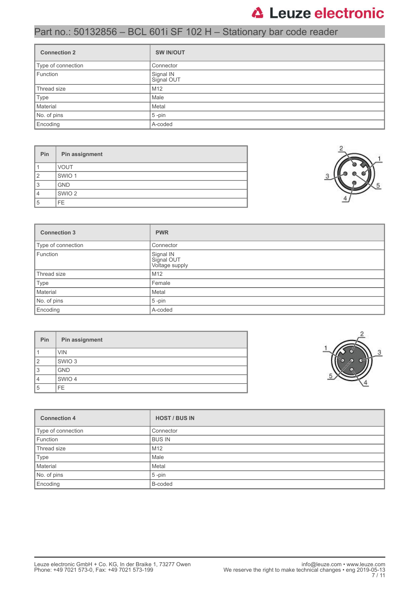### Part no.: 50132856 – BCL 601i SF 102 H – Stationary bar code reader

| <b>Connection 2</b> | <b>SW IN/OUT</b>        |
|---------------------|-------------------------|
| Type of connection  | Connector               |
| Function            | Signal IN<br>Signal OUT |
| Thread size         | M12                     |
| Type                | Male                    |
| Material            | Metal                   |
| No. of pins         | $5$ -pin                |
| Encoding            | A-coded                 |

| Pin            | Pin assignment    |
|----------------|-------------------|
|                | <b>VOUT</b>       |
| $\overline{2}$ | SWIO <sub>1</sub> |
| 3              | <b>GND</b>        |
| 4              | SWIO <sub>2</sub> |
| 5              | FE.               |



| <b>Connection 3</b> | <b>PWR</b>                                |  |
|---------------------|-------------------------------------------|--|
| Type of connection  | Connector                                 |  |
| Function            | Signal IN<br>Signal OUT<br>Voltage supply |  |
| Thread size         | M12                                       |  |
| Type                | Female                                    |  |
| Material            | Metal                                     |  |
| No. of pins         | $5 - pin$                                 |  |
| Encoding            | A-coded                                   |  |

| Pin           | Pin assignment    |
|---------------|-------------------|
|               | <b>VIN</b>        |
| $\mathcal{P}$ | SWIO <sub>3</sub> |
| 3             | <b>GND</b>        |
| 4             | SWIO 4            |
| 5             | FE.               |



| <b>Connection 4</b> | <b>HOST / BUS IN</b> |  |
|---------------------|----------------------|--|
| Type of connection  | Connector            |  |
| Function            | <b>BUS IN</b>        |  |
| Thread size         | M <sub>12</sub>      |  |
| Type                | Male                 |  |
| Material            | Metal                |  |
| No. of pins         | $5$ -pin             |  |
| Encoding            | B-coded              |  |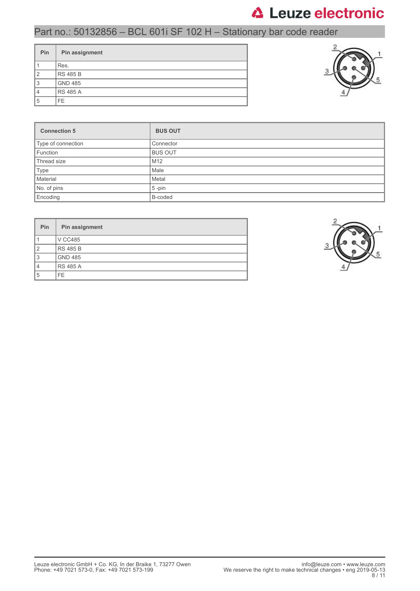### Part no.: 50132856 – BCL 601i SF 102 H – Stationary bar code reader

| <b>Pin</b>     | Pin assignment  |
|----------------|-----------------|
|                | Res.            |
| $\overline{2}$ | <b>RS 485 B</b> |
| 3              | <b>GND 485</b>  |
| $\overline{4}$ | <b>RS 485 A</b> |
| 5              | FF.             |



| <b>Connection 5</b> | <b>BUS OUT</b>  |
|---------------------|-----------------|
| Type of connection  | Connector       |
| Function            | <b>BUS OUT</b>  |
| Thread size         | M <sub>12</sub> |
| Type                | Male            |
| Material            | Metal           |
| No. of pins         | $5$ -pin        |
| Encoding            | B-coded         |

| <b>Pin</b> | Pin assignment  |  |
|------------|-----------------|--|
|            | <b>V CC485</b>  |  |
| 12         | <b>RS 485 B</b> |  |
| 13         | <b>GND 485</b>  |  |
|            | <b>RS 485 A</b> |  |
| 5          | FF.             |  |

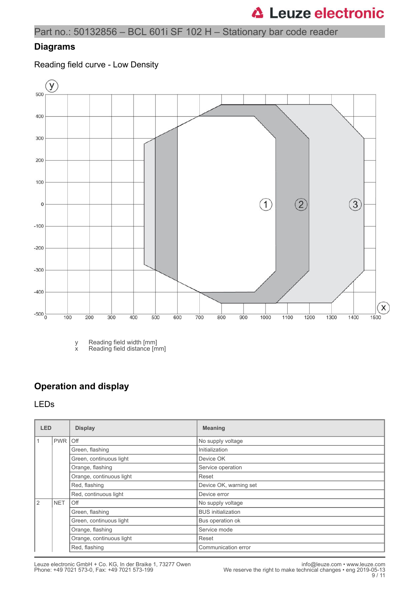Part no.: 50132856 – BCL 601i SF 102 H – Stationary bar code reader

#### **Diagrams**

Reading field curve - Low Density



y Reading field width [mm]

x Reading field distance [mm]

#### **Operation and display**

#### LEDs

| <b>LED</b>   |                | <b>Display</b>           | <b>Meaning</b>            |  |
|--------------|----------------|--------------------------|---------------------------|--|
|              | <b>PWR Off</b> |                          | No supply voltage         |  |
|              |                | Green, flashing          | Initialization            |  |
|              |                | Green, continuous light  | Device OK                 |  |
|              |                | Orange, flashing         | Service operation         |  |
|              |                | Orange, continuous light | Reset                     |  |
|              |                | Red, flashing            | Device OK, warning set    |  |
|              |                | Red, continuous light    | Device error              |  |
| <sup>2</sup> | <b>NET</b>     | Off                      | No supply voltage         |  |
|              |                | Green, flashing          | <b>BUS</b> initialization |  |
|              |                | Green, continuous light  | Bus operation ok          |  |
|              |                | Orange, flashing         | Service mode              |  |
|              |                | Orange, continuous light | Reset                     |  |
|              |                | Red, flashing            | Communication error       |  |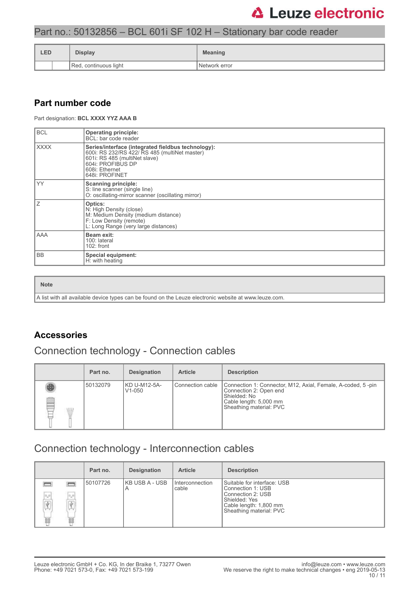#### Part no.: 50132856 – BCL 601i SF 102 H – Stationary bar code reader

| <b>LED</b> |                       | <b>Display</b> | <b>Meaning</b>  |  |
|------------|-----------------------|----------------|-----------------|--|
|            | Red, continuous light |                | I Network error |  |

#### **Part number code**

Part designation: **BCL XXXX YYZ AAA B**

| <b>BCL</b>  | <b>Operating principle:</b><br>BCL: bar code reader                                                                                                                                           |  |  |
|-------------|-----------------------------------------------------------------------------------------------------------------------------------------------------------------------------------------------|--|--|
| <b>XXXX</b> | Series/interface (integrated fieldbus technology):<br>600i: RS 232/RS 422/ RS 485 (multiNet master)<br>601i: RS 485 (multiNet slave)<br>604i: PROFIBUS DP<br>608i: Ethernet<br>648i: PROFINET |  |  |
| <b>YY</b>   | <b>Scanning principle:</b><br>S: line scanner (single line)<br>O: oscillating-mirror scanner (oscillating mirror)                                                                             |  |  |
| 7           | Optics:<br>N: High Density (close)<br>M: Medium Density (medium distance)<br>F: Low Density (remote)<br>L: Long Range (very large distances)                                                  |  |  |
| AAA         | Beam exit:<br>100: lateral<br>$102:$ front                                                                                                                                                    |  |  |
| <b>BB</b>   | <b>Special equipment:</b><br>H: with heating                                                                                                                                                  |  |  |

#### **Note**

A list with all available device types can be found on the Leuze electronic website at www.leuze.com.

#### **Accessories**

### Connection technology - Connection cables

|   | Part no. | <b>Designation</b>                  | <b>Article</b>     | <b>Description</b>                                                                                                                                         |
|---|----------|-------------------------------------|--------------------|------------------------------------------------------------------------------------------------------------------------------------------------------------|
| Œ | 50132079 | KD U-M12-5A-<br>V <sub>1</sub> -050 | l Connection cable | Connection 1: Connector, M12, Axial, Female, A-coded, 5-pin<br>Connection 2: Open end<br>Shielded: No<br>Cable length: 5,000 mm<br>Sheathing material: PVC |

### Connection technology - Interconnection cables

|                                                 |                    | Part no. | <b>Designation</b>  | <b>Article</b>           | <b>Description</b>                                                                                                                          |
|-------------------------------------------------|--------------------|----------|---------------------|--------------------------|---------------------------------------------------------------------------------------------------------------------------------------------|
| $\sigma_{\rm m}$<br>$\overline{\Psi}$<br>w<br>U | $\Box$ $\Box$<br>Ħ | 50107726 | KB USB A - USB<br>A | Interconnection<br>cable | Suitable for interface: USB<br>Connection 1: USB<br>Connection 2: USB<br>Shielded: Yes<br>Cable length: 1,800 mm<br>Sheathing material: PVC |